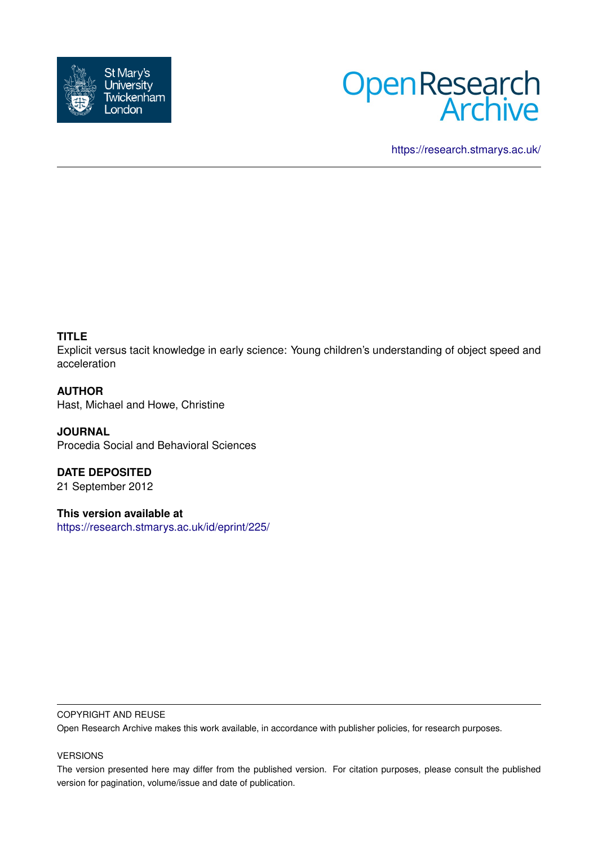



<https://research.stmarys.ac.uk/>

## **TITLE**

Explicit versus tacit knowledge in early science: Young children's understanding of object speed and acceleration

### **AUTHOR**

Hast, Michael and Howe, Christine

**JOURNAL** Procedia Social and Behavioral Sciences

**DATE DEPOSITED** 21 September 2012

**This version available at** <https://research.stmarys.ac.uk/id/eprint/225/>

#### COPYRIGHT AND REUSE

Open Research Archive makes this work available, in accordance with publisher policies, for research purposes.

#### VERSIONS

The version presented here may differ from the published version. For citation purposes, please consult the published version for pagination, volume/issue and date of publication.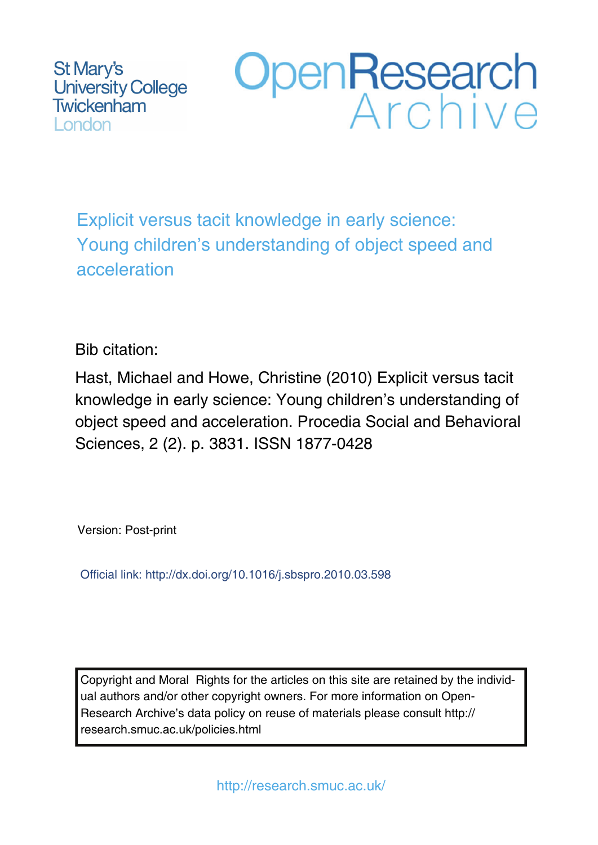St Mary's **University College** Twickenham London



Explicit versus tacit knowledge in early science: Young children's understanding of object speed and acceleration

Bib citation:

Hast, Michael and Howe, Christine (2010) Explicit versus tacit knowledge in early science: Young children's understanding of object speed and acceleration. Procedia Social and Behavioral Sciences, 2 (2). p. 3831. ISSN 1877-0428

Version: Post-print

Official link: http://dx.doi.org/10.1016/j.sbspro.2010.03.598

Copyright and Moral Rights for the articles on this site are retained by the individual authors and/or other copyright owners. For more information on Open-Research Archive's data policy on reuse of materials please consult http:// research.smuc.ac.uk/policies.html